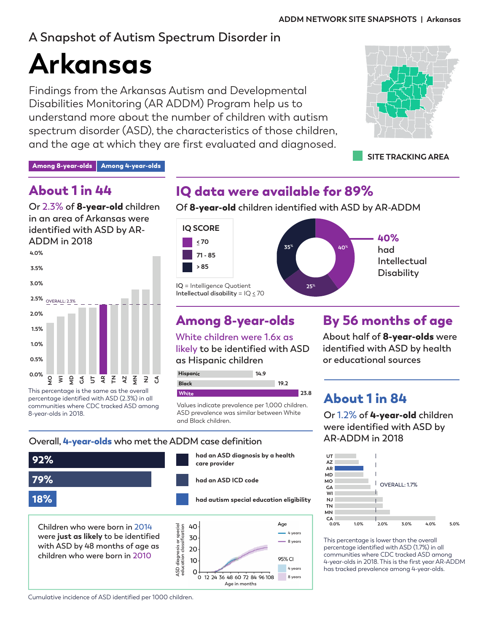# **A Snapshot of Autism Spectrum Disorder in**

# **Arkansas**

Findings from the Arkansas Autism and Developmental Disabilities Monitoring (AR ADDM) Program help us to understand more about the number of children with autism spectrum disorder (ASD), the characteristics of those children, and the age at which they are first evaluated and diagnosed.



**SITE TRACKING AREA**

Among 8-year-olds | Among 4-year-olds

## About 1 in 44

**Or 2.3% of** 8-year-old **children in an area of Arkansas were identified with ASD by AR-ADDM in 2018**



percentage identified with ASD (2.3%) in all communities where CDC tracked ASD among 8-year-olds in 2018.

# IQ data were available for 89%

**Of** 8-year-old **children identified with ASD by AR-ADDM** 



# Among 8-year-olds

**White children were 1.6x as likely to be identified with ASD as Hispanic children**



Values indicate prevalence per 1,000 children. ASD prevalence was similar between White and Black children.

# By 56 months of age

**About half of** 8-year-olds **were identified with ASD by health or educational sources**

# About 1 in 84

**Or 1.2% of** 4-year-old **children were identified with ASD by AR-ADDM in 2018**



This percentage is lower than the overall percentage identified with ASD (1.7%) in all communities where CDC tracked ASD among 4-year-olds in 2018. This is the first year AR-ADDM has tracked prevalence among 4-year-olds.

#### **Overall,** 4-year-olds **who met the ADDM case definition**



Cumulative incidence of ASD identified per 1000 children.